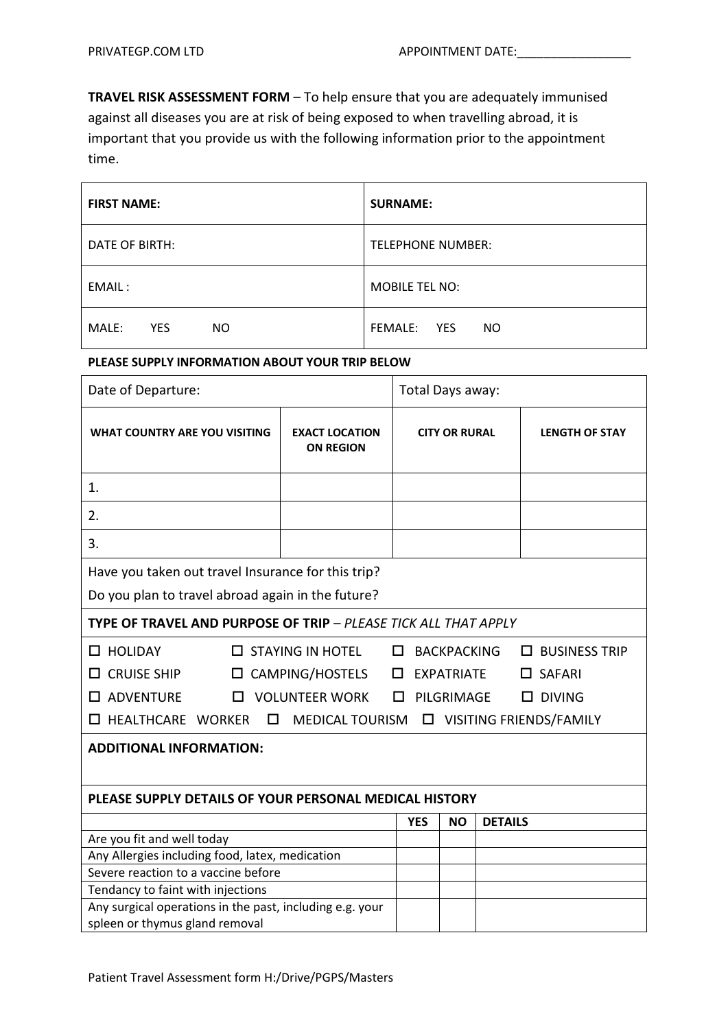**TRAVEL RISK ASSESSMENT FORM** – To help ensure that you are adequately immunised against all diseases you are at risk of being exposed to when travelling abroad, it is important that you provide us with the following information prior to the appointment time.

| <b>FIRST NAME:</b>         | <b>SURNAME:</b>                    |
|----------------------------|------------------------------------|
| DATE OF BIRTH:             | <b>TELEPHONE NUMBER:</b>           |
| EMAIL:                     | <b>MOBILE TEL NO:</b>              |
| MALE:<br><b>YES</b><br>NO. | FEMALE:<br><b>YES</b><br><b>NO</b> |

## **PLEASE SUPPLY INFORMATION ABOUT YOUR TRIP BELOW**

| Date of Departure:                                                                                                                                                                                                                                                                                                 |                                           | Total Days away: |                      |                       |  |  |  |  |
|--------------------------------------------------------------------------------------------------------------------------------------------------------------------------------------------------------------------------------------------------------------------------------------------------------------------|-------------------------------------------|------------------|----------------------|-----------------------|--|--|--|--|
| <b>WHAT COUNTRY ARE YOU VISITING</b>                                                                                                                                                                                                                                                                               | <b>EXACT LOCATION</b><br><b>ON REGION</b> |                  | <b>CITY OR RURAL</b> | <b>LENGTH OF STAY</b> |  |  |  |  |
| 1.                                                                                                                                                                                                                                                                                                                 |                                           |                  |                      |                       |  |  |  |  |
| 2.                                                                                                                                                                                                                                                                                                                 |                                           |                  |                      |                       |  |  |  |  |
| 3.                                                                                                                                                                                                                                                                                                                 |                                           |                  |                      |                       |  |  |  |  |
| Have you taken out travel Insurance for this trip?<br>Do you plan to travel abroad again in the future?                                                                                                                                                                                                            |                                           |                  |                      |                       |  |  |  |  |
| <b>TYPE OF TRAVEL AND PURPOSE OF TRIP - PLEASE TICK ALL THAT APPLY</b>                                                                                                                                                                                                                                             |                                           |                  |                      |                       |  |  |  |  |
| $\Box$ HOLIDAY<br>$\Box$ STAYING IN HOTEL<br><b>BACKPACKING</b><br>$\Box$ BUSINESS TRIP<br>□<br><b>CRUISE SHIP</b><br>$\square$ CAMPING/HOSTELS<br>□<br><b>EXPATRIATE</b><br>$\Box$ SAFARI<br>0<br>□ ADVENTURE<br>$\square$ VOLUNTEER WORK<br>PILGRIMAGE<br>$\square$ DIVING<br>□<br>□ HEALTHCARE WORKER<br>$\Box$ |                                           |                  |                      |                       |  |  |  |  |
| <b>ADDITIONAL INFORMATION:</b>                                                                                                                                                                                                                                                                                     |                                           |                  |                      |                       |  |  |  |  |
| PLEASE SUPPLY DETAILS OF YOUR PERSONAL MEDICAL HISTORY                                                                                                                                                                                                                                                             |                                           |                  |                      |                       |  |  |  |  |
|                                                                                                                                                                                                                                                                                                                    |                                           | <b>YES</b>       | <b>NO</b>            | <b>DETAILS</b>        |  |  |  |  |
| Are you fit and well today                                                                                                                                                                                                                                                                                         |                                           |                  |                      |                       |  |  |  |  |
| Any Allergies including food, latex, medication                                                                                                                                                                                                                                                                    |                                           |                  |                      |                       |  |  |  |  |
| Severe reaction to a vaccine before                                                                                                                                                                                                                                                                                |                                           |                  |                      |                       |  |  |  |  |
| Tendancy to faint with injections                                                                                                                                                                                                                                                                                  |                                           |                  |                      |                       |  |  |  |  |
| Any surgical operations in the past, including e.g. your<br>spleen or thymus gland removal                                                                                                                                                                                                                         |                                           |                  |                      |                       |  |  |  |  |